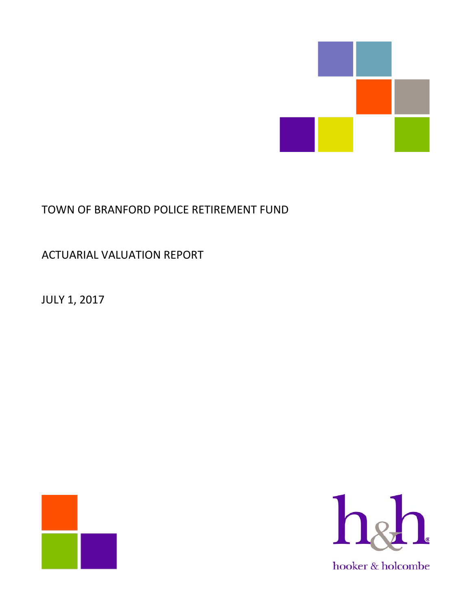

# TOWN OF BRANFORD POLICE RETIREMENT FUND

ACTUARIAL VALUATION REPORT

JULY 1, 2017



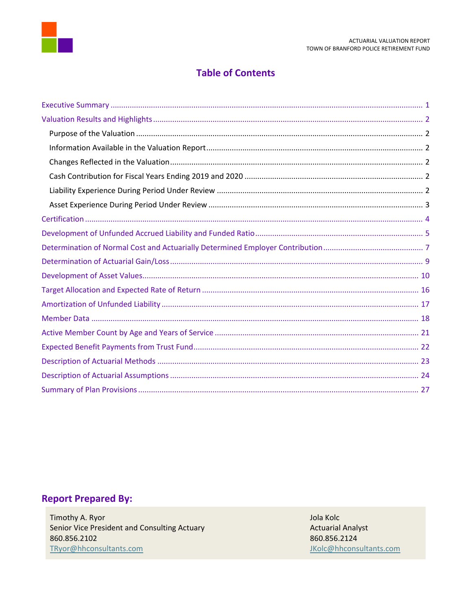

# **Table of Contents**

# **Report Prepared By:**

Timothy A. Ryor Senior Vice President and Consulting Actuary 860.856.2102 TRyor@hhconsultants.com

Jola Kolc **Actuarial Analyst** 860.856.2124 JKolc@hhconsultants.com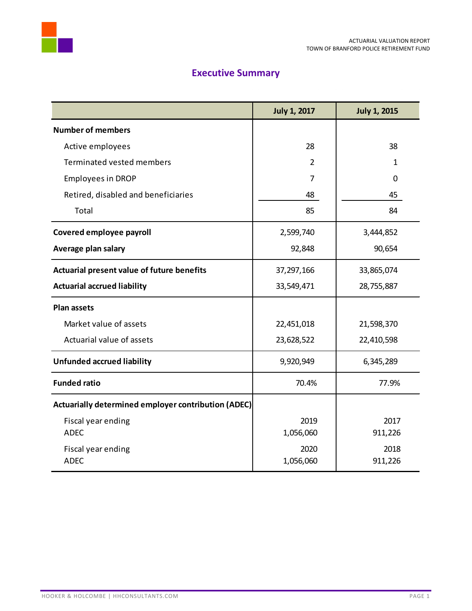



# **Executive Summary**

<span id="page-2-0"></span>

|                                                     | <b>July 1, 2017</b> | <b>July 1, 2015</b> |
|-----------------------------------------------------|---------------------|---------------------|
| <b>Number of members</b>                            |                     |                     |
| Active employees                                    | 28                  | 38                  |
| Terminated vested members                           | $\overline{2}$      | $\mathbf{1}$        |
| <b>Employees in DROP</b>                            | 7                   | 0                   |
| Retired, disabled and beneficiaries                 | 48                  | 45                  |
| Total                                               | 85                  | 84                  |
| Covered employee payroll                            | 2,599,740           | 3,444,852           |
| Average plan salary                                 | 92,848              | 90,654              |
| Actuarial present value of future benefits          | 37,297,166          | 33,865,074          |
| <b>Actuarial accrued liability</b>                  | 33,549,471          | 28,755,887          |
| <b>Plan assets</b>                                  |                     |                     |
| Market value of assets                              | 22,451,018          | 21,598,370          |
| Actuarial value of assets                           | 23,628,522          | 22,410,598          |
| <b>Unfunded accrued liability</b>                   | 9,920,949           | 6,345,289           |
| <b>Funded ratio</b>                                 | 70.4%               | 77.9%               |
| Actuarially determined employer contribution (ADEC) |                     |                     |
| Fiscal year ending                                  | 2019                | 2017                |
| <b>ADEC</b>                                         | 1,056,060           | 911,226             |
| Fiscal year ending                                  | 2020                | 2018                |
| <b>ADEC</b>                                         | 1,056,060           | 911,226             |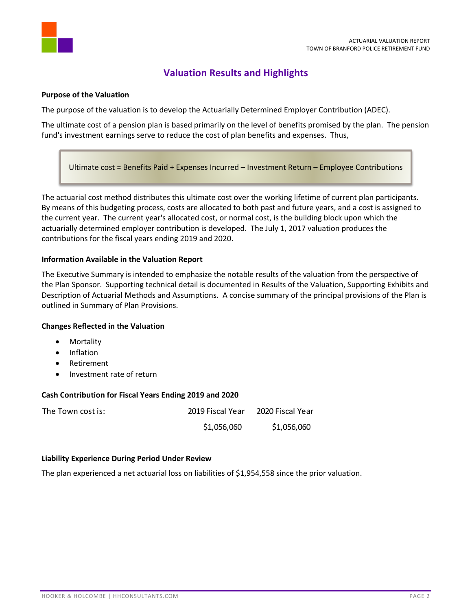

# **Valuation Results and Highlights**

## <span id="page-3-1"></span><span id="page-3-0"></span>**Purpose of the Valuation**

The purpose of the valuation is to develop the Actuarially Determined Employer Contribution (ADEC).

The ultimate cost of a pension plan is based primarily on the level of benefits promised by the plan. The pension fund's investment earnings serve to reduce the cost of plan benefits and expenses. Thus,

Ultimate cost = Benefits Paid + Expenses Incurred – Investment Return – Employee Contributions

The actuarial cost method distributes this ultimate cost over the working lifetime of current plan participants. By means of this budgeting process, costs are allocated to both past and future years, and a cost is assigned to the current year. The current year's allocated cost, or normal cost, is the building block upon which the actuarially determined employer contribution is developed. The July 1, 2017 valuation produces the contributions for the fiscal years ending 2019 and 2020.

## <span id="page-3-2"></span>**Information Available in the Valuation Report**

The Executive Summary is intended to emphasize the notable results of the valuation from the perspective of the Plan Sponsor. Supporting technical detail is documented in Results of the Valuation, Supporting Exhibits and Description of Actuarial Methods and Assumptions. A concise summary of the principal provisions of the Plan is outlined in Summary of Plan Provisions.

#### <span id="page-3-3"></span>**Changes Reflected in the Valuation**

- Mortality
- Inflation
- Retirement
- Investment rate of return

#### <span id="page-3-4"></span>**Cash Contribution for Fiscal Years Ending 2019 and 2020**

| The Town cost is: | 2019 Fiscal Year | 2020 Fiscal Year |
|-------------------|------------------|------------------|
|                   | \$1,056,060      | \$1,056,060      |

#### <span id="page-3-5"></span>**Liability Experience During Period Under Review**

The plan experienced a net actuarial loss on liabilities of \$1,954,558 since the prior valuation.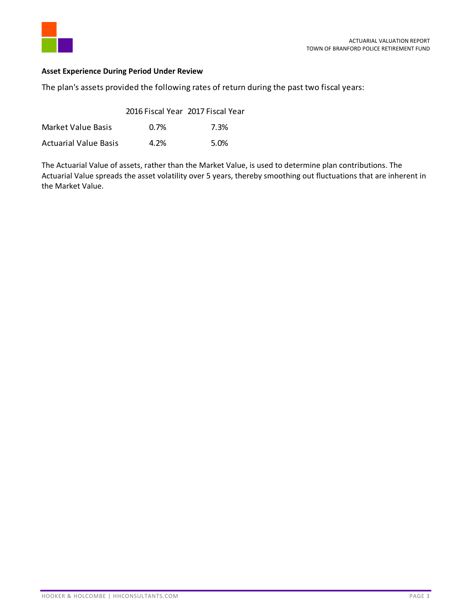

# <span id="page-4-0"></span>**Asset Experience During Period Under Review**

The plan's assets provided the following rates of return during the past two fiscal years:

|                              | 2016 Fiscal Year 2017 Fiscal Year |      |
|------------------------------|-----------------------------------|------|
| Market Value Basis           | 0.7%                              | 7.3% |
| <b>Actuarial Value Basis</b> | 4.2%                              | 5.0% |

The Actuarial Value of assets, rather than the Market Value, is used to determine plan contributions. The Actuarial Value spreads the asset volatility over 5 years, thereby smoothing out fluctuations that are inherent in the Market Value.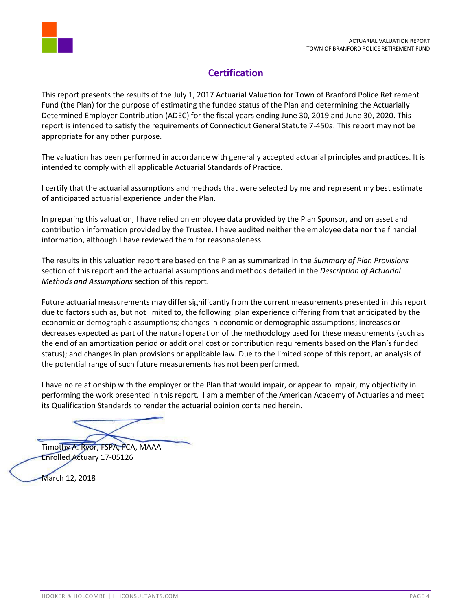

# **Certification**

<span id="page-5-0"></span>This report presents the results of the July 1, 2017 Actuarial Valuation for Town of Branford Police Retirement Fund (the Plan) for the purpose of estimating the funded status of the Plan and determining the Actuarially Determined Employer Contribution (ADEC) for the fiscal years ending June 30, 2019 and June 30, 2020. This report is intended to satisfy the requirements of Connecticut General Statute 7-450a. This report may not be appropriate for any other purpose.

The valuation has been performed in accordance with generally accepted actuarial principles and practices. It is intended to comply with all applicable Actuarial Standards of Practice.

I certify that the actuarial assumptions and methods that were selected by me and represent my best estimate of anticipated actuarial experience under the Plan.

In preparing this valuation, I have relied on employee data provided by the Plan Sponsor, and on asset and contribution information provided by the Trustee. I have audited neither the employee data nor the financial information, although I have reviewed them for reasonableness.

The results in this valuation report are based on the Plan as summarized in the *Summary of Plan Provisions* section of this report and the actuarial assumptions and methods detailed in the *Description of Actuarial Methods and Assumptions* section of this report.

Future actuarial measurements may differ significantly from the current measurements presented in this report due to factors such as, but not limited to, the following: plan experience differing from that anticipated by the economic or demographic assumptions; changes in economic or demographic assumptions; increases or decreases expected as part of the natural operation of the methodology used for these measurements (such as the end of an amortization period or additional cost or contribution requirements based on the Plan's funded status); and changes in plan provisions or applicable law. Due to the limited scope of this report, an analysis of the potential range of such future measurements has not been performed.

I have no relationship with the employer or the Plan that would impair, or appear to impair, my objectivity in performing the work presented in this report. I am a member of the American Academy of Actuaries and meet its Qualification Standards to render the actuarial opinion contained herein.

Timothy A. Ryor, FSPA, FCA, MAAA Enrolled Actuary 17-05126

March 12, 2018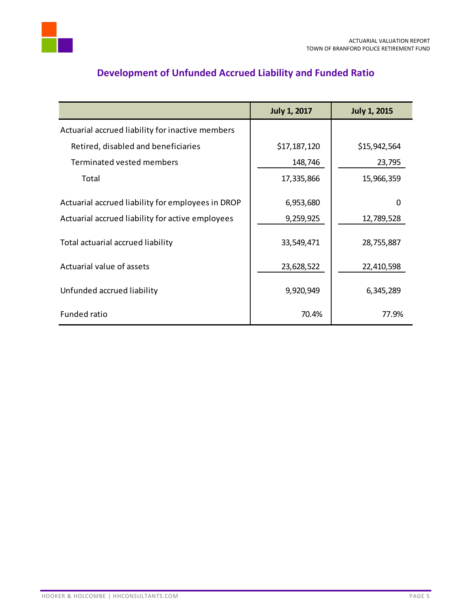

<span id="page-6-0"></span>

|                                                   | <b>July 1, 2017</b> | <b>July 1, 2015</b> |
|---------------------------------------------------|---------------------|---------------------|
| Actuarial accrued liability for inactive members  |                     |                     |
| Retired, disabled and beneficiaries               | \$17,187,120        | \$15,942,564        |
| Terminated vested members                         | 148,746             | 23,795              |
| Total                                             | 17,335,866          | 15,966,359          |
| Actuarial accrued liability for employees in DROP | 6,953,680           | 0                   |
| Actuarial accrued liability for active employees  | 9,259,925           | 12,789,528          |
| Total actuarial accrued liability                 | 33,549,471          | 28,755,887          |
| Actuarial value of assets                         | 23,628,522          | 22,410,598          |
| Unfunded accrued liability                        | 9,920,949           | 6,345,289           |
| <b>Funded ratio</b>                               | 70.4%               | 77.9%               |

# **Development of Unfunded Accrued Liability and Funded Ratio**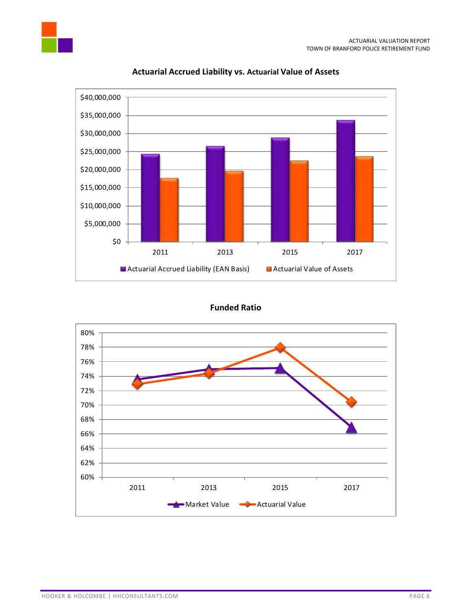

# **Actuarial Accrued Liability vs. Actuarial Value of Assets**



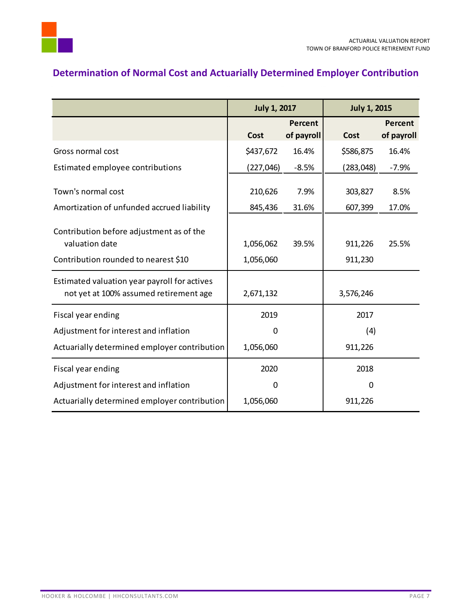# <span id="page-8-0"></span>**Determination of Normal Cost and Actuarially Determined Employer Contribution**

|                                                                                        | <b>July 1, 2017</b> |                              | <b>July 1, 2015</b> |                       |
|----------------------------------------------------------------------------------------|---------------------|------------------------------|---------------------|-----------------------|
|                                                                                        | Cost                | <b>Percent</b><br>of payroll | <b>Cost</b>         | Percent<br>of payroll |
| Gross normal cost                                                                      | \$437,672           | 16.4%                        | \$586,875           | 16.4%                 |
| Estimated employee contributions                                                       | (227, 046)          | $-8.5%$                      | (283, 048)          | $-7.9%$               |
| Town's normal cost                                                                     | 210,626             | 7.9%                         | 303,827             | 8.5%                  |
| Amortization of unfunded accrued liability                                             | 845,436             | 31.6%                        | 607,399             | 17.0%                 |
| Contribution before adjustment as of the<br>valuation date                             | 1,056,062           | 39.5%                        | 911,226             | 25.5%                 |
| Contribution rounded to nearest \$10                                                   | 1,056,060           |                              | 911,230             |                       |
| Estimated valuation year payroll for actives<br>not yet at 100% assumed retirement age | 2,671,132           |                              | 3,576,246           |                       |
| Fiscal year ending                                                                     | 2019                |                              | 2017                |                       |
| Adjustment for interest and inflation                                                  | 0                   |                              | (4)                 |                       |
| Actuarially determined employer contribution                                           | 1,056,060           |                              | 911,226             |                       |
| Fiscal year ending                                                                     | 2020                |                              | 2018                |                       |
| Adjustment for interest and inflation                                                  | 0                   |                              | $\Omega$            |                       |
| Actuarially determined employer contribution                                           | 1,056,060           |                              | 911,226             |                       |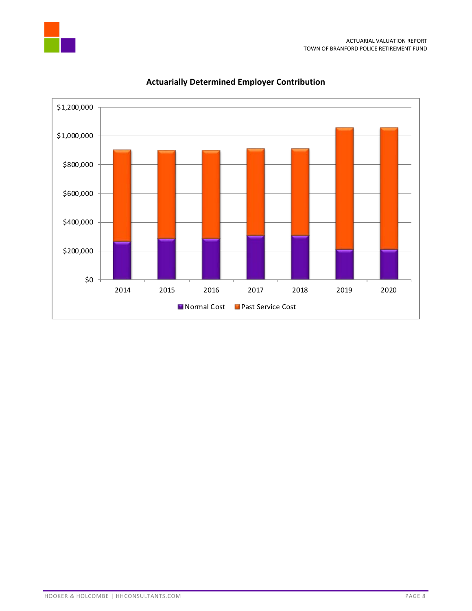



# **Actuarially Determined Employer Contribution**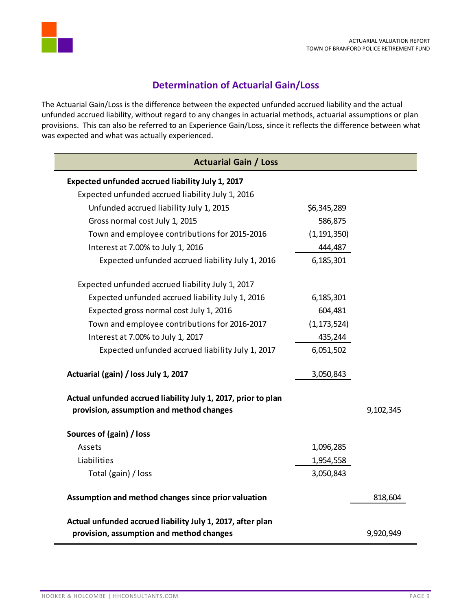

# **Determination of Actuarial Gain/Loss**

<span id="page-10-0"></span>The Actuarial Gain/Loss is the difference between the expected unfunded accrued liability and the actual unfunded accrued liability, without regard to any changes in actuarial methods, actuarial assumptions or plan provisions. This can also be referred to an Experience Gain/Loss, since it reflects the difference between what was expected and what was actually experienced.

| <b>Actuarial Gain / Loss</b>                                                                              |               |           |
|-----------------------------------------------------------------------------------------------------------|---------------|-----------|
| Expected unfunded accrued liability July 1, 2017                                                          |               |           |
| Expected unfunded accrued liability July 1, 2016                                                          |               |           |
| Unfunded accrued liability July 1, 2015                                                                   | \$6,345,289   |           |
| Gross normal cost July 1, 2015                                                                            | 586,875       |           |
| Town and employee contributions for 2015-2016                                                             | (1, 191, 350) |           |
| Interest at 7.00% to July 1, 2016                                                                         | 444,487       |           |
| Expected unfunded accrued liability July 1, 2016                                                          | 6,185,301     |           |
| Expected unfunded accrued liability July 1, 2017                                                          |               |           |
| Expected unfunded accrued liability July 1, 2016                                                          | 6,185,301     |           |
| Expected gross normal cost July 1, 2016                                                                   | 604,481       |           |
| Town and employee contributions for 2016-2017                                                             | (1, 173, 524) |           |
| Interest at 7.00% to July 1, 2017                                                                         | 435,244       |           |
| Expected unfunded accrued liability July 1, 2017                                                          | 6,051,502     |           |
| Actuarial (gain) / loss July 1, 2017                                                                      | 3,050,843     |           |
| Actual unfunded accrued liability July 1, 2017, prior to plan<br>provision, assumption and method changes |               | 9,102,345 |
| Sources of (gain) / loss                                                                                  |               |           |
| Assets                                                                                                    | 1,096,285     |           |
| Liabilities                                                                                               | 1,954,558     |           |
| Total (gain) / loss                                                                                       | 3,050,843     |           |
| Assumption and method changes since prior valuation                                                       |               | 818,604   |
| Actual unfunded accrued liability July 1, 2017, after plan                                                |               |           |
| provision, assumption and method changes                                                                  |               | 9,920,949 |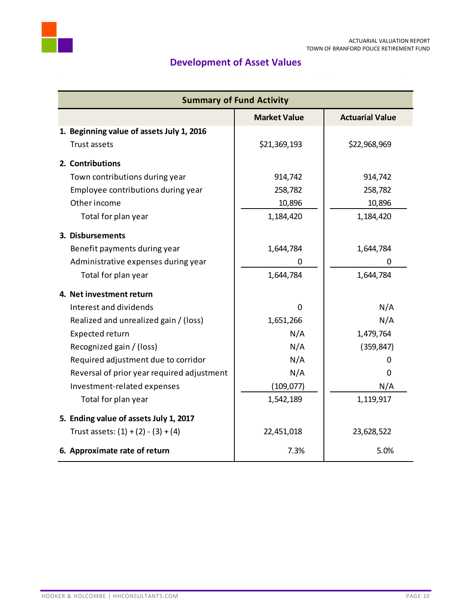

# **Development of Asset Values**

<span id="page-11-0"></span>

| <b>Summary of Fund Activity</b>            |                     |                        |  |
|--------------------------------------------|---------------------|------------------------|--|
|                                            | <b>Market Value</b> | <b>Actuarial Value</b> |  |
| 1. Beginning value of assets July 1, 2016  |                     |                        |  |
| Trust assets                               | \$21,369,193        | \$22,968,969           |  |
| 2. Contributions                           |                     |                        |  |
| Town contributions during year             | 914,742             | 914,742                |  |
| Employee contributions during year         | 258,782             | 258,782                |  |
| Other income                               | 10,896              | 10,896                 |  |
| Total for plan year                        | 1,184,420           | 1,184,420              |  |
| 3. Disbursements                           |                     |                        |  |
| Benefit payments during year               | 1,644,784           | 1,644,784              |  |
| Administrative expenses during year        | 0                   | 0                      |  |
| Total for plan year                        | 1,644,784           | 1,644,784              |  |
| 4. Net investment return                   |                     |                        |  |
| Interest and dividends                     | 0                   | N/A                    |  |
| Realized and unrealized gain / (loss)      | 1,651,266           | N/A                    |  |
| Expected return                            | N/A                 | 1,479,764              |  |
| Recognized gain / (loss)                   | N/A                 | (359, 847)             |  |
| Required adjustment due to corridor        | N/A                 | Ω                      |  |
| Reversal of prior year required adjustment | N/A                 | 0                      |  |
| Investment-related expenses                | (109, 077)          | N/A                    |  |
| Total for plan year                        | 1,542,189           | 1,119,917              |  |
| 5. Ending value of assets July 1, 2017     |                     |                        |  |
| Trust assets: $(1) + (2) - (3) + (4)$      | 22,451,018          | 23,628,522             |  |
| 6. Approximate rate of return              | 7.3%                | 5.0%                   |  |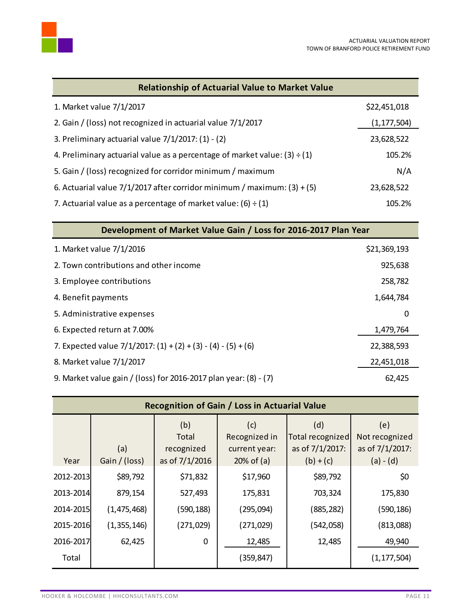

| <b>Relationship of Actuarial Value to Market Value</b>                         |               |
|--------------------------------------------------------------------------------|---------------|
| 1. Market value 7/1/2017                                                       | \$22,451,018  |
| 2. Gain / (loss) not recognized in actuarial value 7/1/2017                    | (1, 177, 504) |
| 3. Preliminary actuarial value $7/1/2017$ : (1) - (2)                          | 23,628,522    |
| 4. Preliminary actuarial value as a percentage of market value: $(3) \div (1)$ | 105.2%        |
| 5. Gain / (loss) recognized for corridor minimum / maximum                     | N/A           |
| 6. Actuarial value $7/1/2017$ after corridor minimum / maximum: (3) + (5)      | 23,628,522    |
| 7. Actuarial value as a percentage of market value: $(6) \div (1)$             | 105.2%        |

| Development of Market Value Gain / Loss for 2016-2017 Plan Year    |              |  |  |
|--------------------------------------------------------------------|--------------|--|--|
| 1. Market value 7/1/2016                                           | \$21,369,193 |  |  |
| 2. Town contributions and other income                             | 925,638      |  |  |
| 3. Employee contributions                                          | 258,782      |  |  |
| 4. Benefit payments                                                | 1,644,784    |  |  |
| 5. Administrative expenses                                         | 0            |  |  |
| 6. Expected return at 7.00%                                        | 1,479,764    |  |  |
| 7. Expected value $7/1/2017$ : $(1) + (2) + (3) - (4) - (5) + (6)$ | 22,388,593   |  |  |
| 8. Market value 7/1/2017                                           | 22,451,018   |  |  |
| 9. Market value gain / (loss) for 2016-2017 plan year: (8) - (7)   | 62,425       |  |  |

| Recognition of Gain / Loss in Actuarial Value |                      |                                              |                                                       |                                                           |                                                         |
|-----------------------------------------------|----------------------|----------------------------------------------|-------------------------------------------------------|-----------------------------------------------------------|---------------------------------------------------------|
| Year                                          | (a)<br>Gain / (loss) | (b)<br>Total<br>recognized<br>as of 7/1/2016 | (c)<br>Recognized in<br>current year:<br>$20%$ of (a) | (d)<br>Total recognized<br>as of 7/1/2017:<br>$(b) + (c)$ | (e)<br>Not recognized<br>as of 7/1/2017:<br>$(a) - (d)$ |
| 2012-2013                                     | \$89,792             | \$71,832                                     | \$17,960                                              | \$89,792                                                  | \$0                                                     |
| 2013-2014                                     | 879,154              | 527,493                                      | 175,831                                               | 703,324                                                   | 175,830                                                 |
| 2014-2015                                     | (1, 475, 468)        | (590,188)                                    | (295,094)                                             | (885, 282)                                                | (590, 186)                                              |
| 2015-2016                                     | (1,355,146)          | (271,029)                                    | (271, 029)                                            | (542,058)                                                 | (813,088)                                               |
| 2016-2017                                     | 62,425               | 0                                            | 12,485                                                | 12,485                                                    | 49,940                                                  |
| Total                                         |                      |                                              | (359,847)                                             |                                                           | (1, 177, 504)                                           |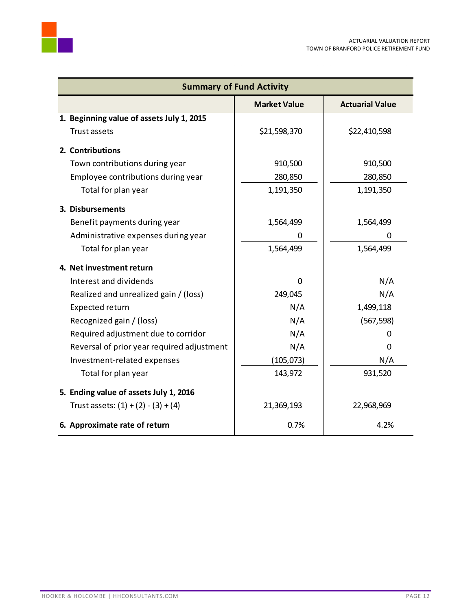| <b>Summary of Fund Activity</b>               |              |              |  |  |
|-----------------------------------------------|--------------|--------------|--|--|
| <b>Actuarial Value</b><br><b>Market Value</b> |              |              |  |  |
| 1. Beginning value of assets July 1, 2015     |              |              |  |  |
| Trust assets                                  | \$21,598,370 | \$22,410,598 |  |  |
| 2. Contributions                              |              |              |  |  |
| Town contributions during year                | 910,500      | 910,500      |  |  |
| Employee contributions during year            | 280,850      | 280,850      |  |  |
| Total for plan year                           | 1,191,350    | 1,191,350    |  |  |
| 3. Disbursements                              |              |              |  |  |
| Benefit payments during year                  | 1,564,499    | 1,564,499    |  |  |
| Administrative expenses during year           | 0            | 0            |  |  |
| Total for plan year                           | 1,564,499    | 1,564,499    |  |  |
| 4. Net investment return                      |              |              |  |  |
| Interest and dividends                        | $\Omega$     | N/A          |  |  |
| Realized and unrealized gain / (loss)         | 249,045      | N/A          |  |  |
| Expected return                               | N/A          | 1,499,118    |  |  |
| Recognized gain / (loss)                      | N/A          | (567, 598)   |  |  |
| Required adjustment due to corridor           | N/A          | 0            |  |  |
| Reversal of prior year required adjustment    | N/A          | 0            |  |  |
| Investment-related expenses                   | (105, 073)   | N/A          |  |  |
| Total for plan year                           | 143,972      | 931,520      |  |  |
| 5. Ending value of assets July 1, 2016        |              |              |  |  |
| Trust assets: $(1) + (2) - (3) + (4)$         | 21,369,193   | 22,968,969   |  |  |
| 6. Approximate rate of return                 | 0.7%         | 4.2%         |  |  |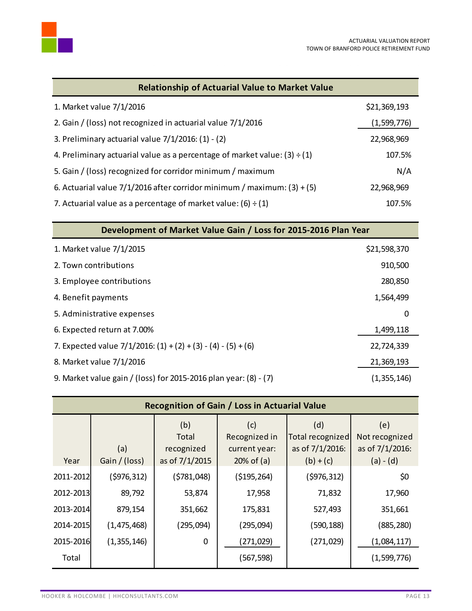

| <b>Relationship of Actuarial Value to Market Value</b>                         |              |
|--------------------------------------------------------------------------------|--------------|
| 1. Market value 7/1/2016                                                       | \$21,369,193 |
| 2. Gain / (loss) not recognized in actuarial value 7/1/2016                    | (1,599,776)  |
| 3. Preliminary actuarial value $7/1/2016$ : (1) - (2)                          | 22,968,969   |
| 4. Preliminary actuarial value as a percentage of market value: $(3) \div (1)$ | 107.5%       |
| 5. Gain / (loss) recognized for corridor minimum / maximum                     | N/A          |
| 6. Actuarial value $7/1/2016$ after corridor minimum / maximum: (3) + (5)      | 22,968,969   |
| 7. Actuarial value as a percentage of market value: (6) $\div$ (1)             | 107.5%       |

| Development of Market Value Gain / Loss for 2015-2016 Plan Year    |              |  |  |  |
|--------------------------------------------------------------------|--------------|--|--|--|
| 1. Market value 7/1/2015                                           | \$21,598,370 |  |  |  |
| 2. Town contributions                                              | 910,500      |  |  |  |
| 3. Employee contributions                                          | 280,850      |  |  |  |
| 4. Benefit payments                                                | 1,564,499    |  |  |  |
| 5. Administrative expenses                                         | 0            |  |  |  |
| 6. Expected return at 7.00%                                        | 1,499,118    |  |  |  |
| 7. Expected value $7/1/2016$ : $(1) + (2) + (3) - (4) - (5) + (6)$ | 22,724,339   |  |  |  |
| 8. Market value 7/1/2016                                           | 21,369,193   |  |  |  |
| 9. Market value gain / (loss) for 2015-2016 plan year: (8) - (7)   | (1,355,146)  |  |  |  |

| Recognition of Gain / Loss in Actuarial Value |                      |                                              |                                                       |                                                           |                                          |  |
|-----------------------------------------------|----------------------|----------------------------------------------|-------------------------------------------------------|-----------------------------------------------------------|------------------------------------------|--|
| Year                                          | (a)<br>Gain / (loss) | (b)<br>Total<br>recognized<br>as of 7/1/2015 | (c)<br>Recognized in<br>current year:<br>$20%$ of (a) | (d)<br>Total recognized<br>as of 7/1/2016:<br>$(b) + (c)$ | (e)<br>Not recognized<br>as of 7/1/2016: |  |
| 2011-2012                                     | (\$976,312)          | (5781,048)                                   | ( \$195, 264)                                         | (5976, 312)                                               | $(a) - (d)$<br>\$0                       |  |
| 2012-2013                                     | 89,792               | 53,874                                       | 17,958                                                | 71,832                                                    | 17,960                                   |  |
| 2013-2014                                     | 879,154              | 351,662                                      | 175,831                                               | 527,493                                                   | 351,661                                  |  |
| 2014-2015                                     | (1, 475, 468)        | (295,094)                                    | (295,094)                                             | (590,188)                                                 | (885, 280)                               |  |
| 2015-2016                                     | (1,355,146)          | 0                                            | (271,029)                                             | (271, 029)                                                | (1,084,117)                              |  |
| Total                                         |                      |                                              | (567,598)                                             |                                                           | (1,599,776)                              |  |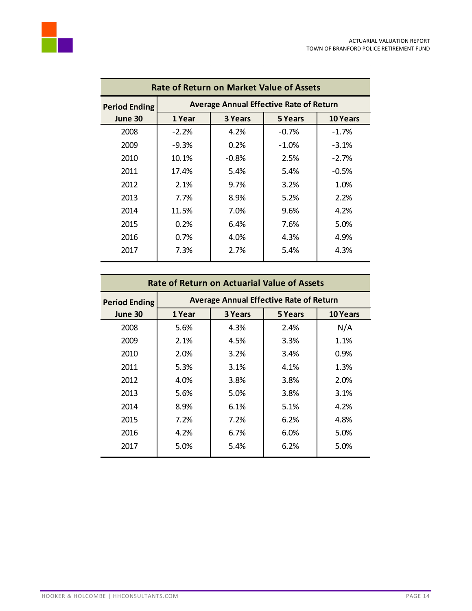

| <b>Rate of Return on Market Value of Assets</b> |          |                |                                                |                 |  |
|-------------------------------------------------|----------|----------------|------------------------------------------------|-----------------|--|
| <b>Period Ending</b>                            |          |                | <b>Average Annual Effective Rate of Return</b> |                 |  |
| June 30                                         | 1 Year   | <b>3 Years</b> | 5 Years                                        | <b>10 Years</b> |  |
| 2008                                            | $-2.2%$  | 4.2%           | $-0.7\%$                                       | $-1.7%$         |  |
| 2009                                            | $-9.3\%$ | 0.2%           | $-1.0\%$                                       | $-3.1%$         |  |
| 2010                                            | 10.1%    | $-0.8\%$       | 2.5%                                           | $-2.7%$         |  |
| 2011                                            | 17.4%    | 5.4%           | 5.4%                                           | $-0.5%$         |  |
| 2012                                            | 2.1%     | 9.7%           | 3.2%                                           | 1.0%            |  |
| 2013                                            | 7.7%     | 8.9%           | 5.2%                                           | 2.2%            |  |
| 2014                                            | 11.5%    | 7.0%           | 9.6%                                           | 4.2%            |  |
| 2015                                            | 0.2%     | 6.4%           | 7.6%                                           | 5.0%            |  |
| 2016                                            | $0.7\%$  | 4.0%           | 4.3%                                           | 4.9%            |  |
| 2017                                            | 7.3%     | 2.7%           | 5.4%                                           | 4.3%            |  |

| <b>Rate of Return on Actuarial Value of Assets</b> |        |         |                                                |                 |  |
|----------------------------------------------------|--------|---------|------------------------------------------------|-----------------|--|
| <b>Period Ending</b>                               |        |         | <b>Average Annual Effective Rate of Return</b> |                 |  |
| June 30                                            | 1 Year | 3 Years | <b>5 Years</b>                                 | <b>10 Years</b> |  |
| 2008                                               | 5.6%   | 4.3%    | 2.4%                                           | N/A             |  |
| 2009                                               | 2.1%   | 4.5%    | 3.3%                                           | 1.1%            |  |
| 2010                                               | 2.0%   | 3.2%    | 3.4%                                           | 0.9%            |  |
| 2011                                               | 5.3%   | 3.1%    | 4.1%                                           | 1.3%            |  |
| 2012                                               | 4.0%   | 3.8%    | 3.8%                                           | 2.0%            |  |
| 2013                                               | 5.6%   | 5.0%    | 3.8%                                           | 3.1%            |  |
| 2014                                               | 8.9%   | 6.1%    | 5.1%                                           | 4.2%            |  |
| 2015                                               | 7.2%   | 7.2%    | 6.2%                                           | 4.8%            |  |
| 2016                                               | 4.2%   | 6.7%    | $6.0\%$                                        | 5.0%            |  |
| 2017                                               | 5.0%   | 5.4%    | 6.2%                                           | 5.0%            |  |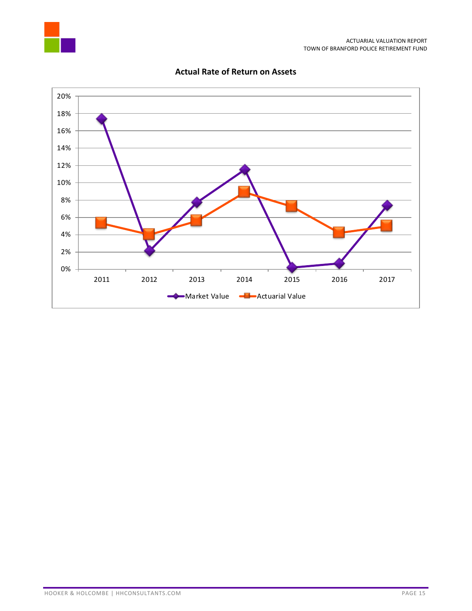



# **Actual Rate of Return on Assets**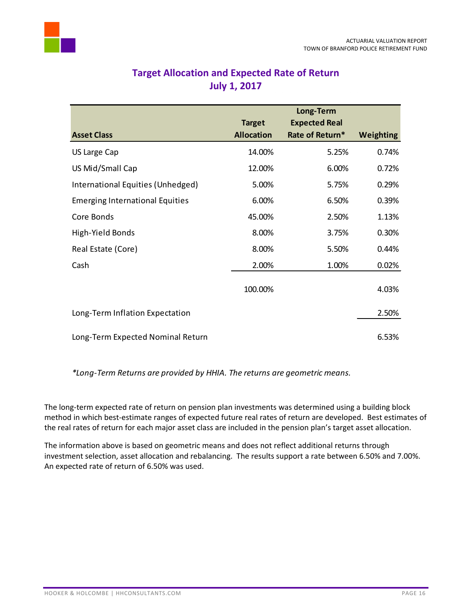<span id="page-17-0"></span>

# **Target Allocation and Expected Rate of Return July 1, 2017**

|                                        |                   | Long-Term            |                  |
|----------------------------------------|-------------------|----------------------|------------------|
|                                        | <b>Target</b>     | <b>Expected Real</b> |                  |
| <b>Asset Class</b>                     | <b>Allocation</b> | Rate of Return*      | <b>Weighting</b> |
| US Large Cap                           | 14.00%            | 5.25%                | 0.74%            |
| US Mid/Small Cap                       | 12.00%            | 6.00%                | 0.72%            |
| International Equities (Unhedged)      | 5.00%             | 5.75%                | 0.29%            |
| <b>Emerging International Equities</b> | 6.00%             | 6.50%                | 0.39%            |
| Core Bonds                             | 45.00%            | 2.50%                | 1.13%            |
| High-Yield Bonds                       | 8.00%             | 3.75%                | 0.30%            |
| Real Estate (Core)                     | 8.00%             | 5.50%                | 0.44%            |
| Cash                                   | 2.00%             | 1.00%                | 0.02%            |
|                                        | 100.00%           |                      | 4.03%            |
| Long-Term Inflation Expectation        |                   |                      | 2.50%            |
| Long-Term Expected Nominal Return      |                   |                      | 6.53%            |

*\*Long-Term Returns are provided by HHIA. The returns are geometric means.*

The long-term expected rate of return on pension plan investments was determined using a building block method in which best-estimate ranges of expected future real rates of return are developed. Best estimates of the real rates of return for each major asset class are included in the pension plan's target asset allocation.

The information above is based on geometric means and does not reflect additional returns through investment selection, asset allocation and rebalancing. The results support a rate between 6.50% and 7.00%. An expected rate of return of 6.50% was used.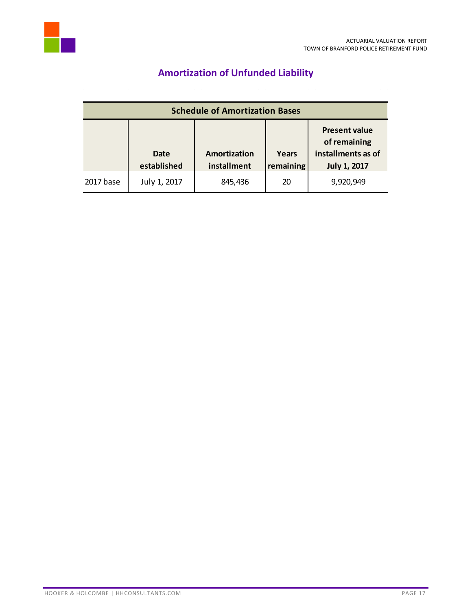<span id="page-18-0"></span>

# **Amortization of Unfunded Liability**

| <b>Schedule of Amortization Bases</b> |                            |                             |                    |                                                                                   |  |
|---------------------------------------|----------------------------|-----------------------------|--------------------|-----------------------------------------------------------------------------------|--|
|                                       | <b>Date</b><br>established | Amortization<br>installment | Years<br>remaining | <b>Present value</b><br>of remaining<br>installments as of<br><b>July 1, 2017</b> |  |
| 2017 base                             | July 1, 2017               | 845,436                     | 20                 | 9,920,949                                                                         |  |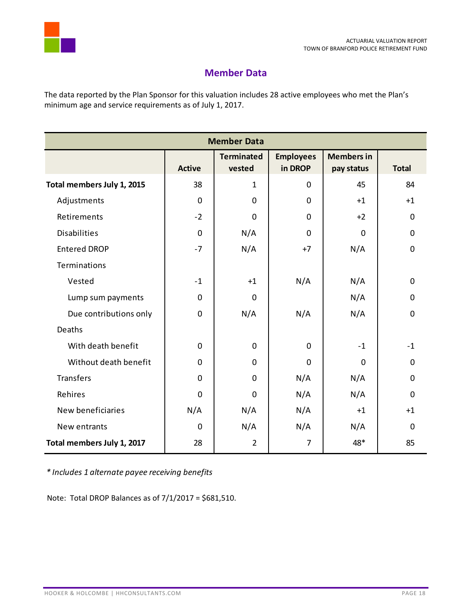

# **Member Data**

<span id="page-19-0"></span>The data reported by the Plan Sponsor for this valuation includes 28 active employees who met the Plan's minimum age and service requirements as of July 1, 2017.

| <b>Member Data</b>         |               |                             |                             |                                 |                |  |
|----------------------------|---------------|-----------------------------|-----------------------------|---------------------------------|----------------|--|
|                            | <b>Active</b> | <b>Terminated</b><br>vested | <b>Employees</b><br>in DROP | <b>Members in</b><br>pay status | <b>Total</b>   |  |
| Total members July 1, 2015 | 38            | $\mathbf{1}$                | 0                           | 45                              | 84             |  |
| Adjustments                | $\mathbf 0$   | 0                           | $\mathbf 0$                 | $+1$                            | $+1$           |  |
| Retirements                | $-2$          | $\overline{0}$              | $\mathbf 0$                 | $+2$                            | $\overline{0}$ |  |
| <b>Disabilities</b>        | 0             | N/A                         | $\mathbf 0$                 | 0                               | $\overline{0}$ |  |
| <b>Entered DROP</b>        | $-7$          | N/A                         | $+7$                        | N/A                             | $\mathbf 0$    |  |
| Terminations               |               |                             |                             |                                 |                |  |
| Vested                     | $-1$          | $+1$                        | N/A                         | N/A                             | $\mathbf 0$    |  |
| Lump sum payments          | 0             | 0                           |                             | N/A                             | 0              |  |
| Due contributions only     | 0             | N/A                         | N/A                         | N/A                             | $\mathbf 0$    |  |
| Deaths                     |               |                             |                             |                                 |                |  |
| With death benefit         | 0             | 0                           | $\mathbf 0$                 | $-1$                            | $-1$           |  |
| Without death benefit      | 0             | 0                           | $\mathbf 0$                 | 0                               | 0              |  |
| Transfers                  | 0             | $\Omega$                    | N/A                         | N/A                             | $\Omega$       |  |
| Rehires                    | 0             | $\mathbf 0$                 | N/A                         | N/A                             | $\Omega$       |  |
| New beneficiaries          | N/A           | N/A                         | N/A                         | $+1$                            | $+1$           |  |
| New entrants               | 0             | N/A                         | N/A                         | N/A                             | $\mathbf 0$    |  |
| Total members July 1, 2017 | 28            | $\overline{2}$              | $\overline{7}$              | 48*                             | 85             |  |

*\* Includes 1 alternate payee receiving benefits*

Note: Total DROP Balances as of 7/1/2017 = \$681,510.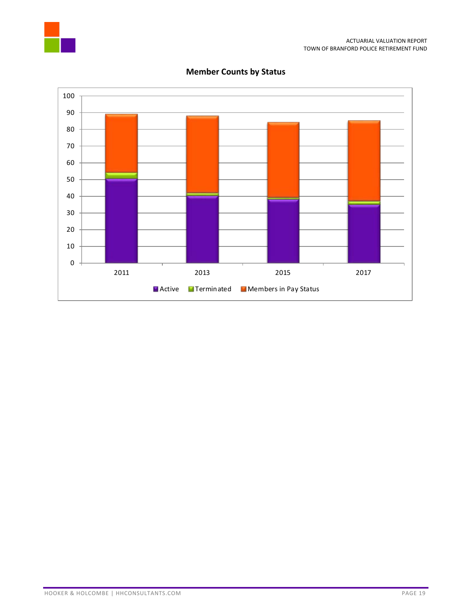



**Member Counts by Status**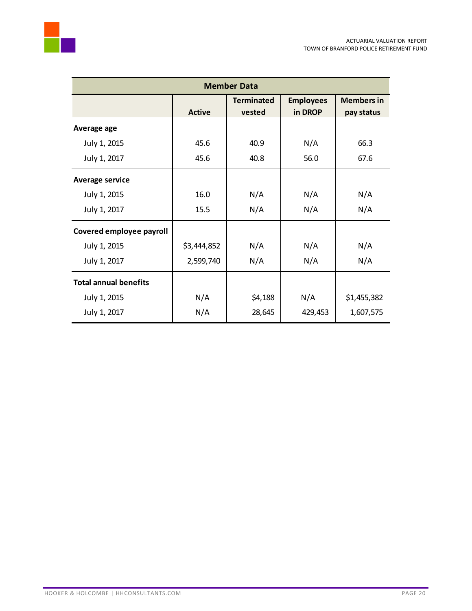

| <b>Member Data</b>           |               |                             |                             |                                 |  |  |
|------------------------------|---------------|-----------------------------|-----------------------------|---------------------------------|--|--|
|                              | <b>Active</b> | <b>Terminated</b><br>vested | <b>Employees</b><br>in DROP | <b>Members in</b><br>pay status |  |  |
| Average age                  |               |                             |                             |                                 |  |  |
| July 1, 2015                 | 45.6          | 40.9                        | N/A                         | 66.3                            |  |  |
| July 1, 2017                 | 45.6          | 40.8                        | 56.0                        | 67.6                            |  |  |
| <b>Average service</b>       |               |                             |                             |                                 |  |  |
| July 1, 2015                 | 16.0          | N/A                         | N/A                         | N/A                             |  |  |
| July 1, 2017                 | 15.5          | N/A                         | N/A                         | N/A                             |  |  |
| Covered employee payroll     |               |                             |                             |                                 |  |  |
| July 1, 2015                 | \$3,444,852   | N/A                         | N/A                         | N/A                             |  |  |
| July 1, 2017                 | 2,599,740     | N/A                         | N/A                         | N/A                             |  |  |
| <b>Total annual benefits</b> |               |                             |                             |                                 |  |  |
| July 1, 2015                 | N/A           | \$4,188                     | N/A                         | \$1,455,382                     |  |  |
| July 1, 2017                 | N/A           | 28,645                      | 429,453                     | 1,607,575                       |  |  |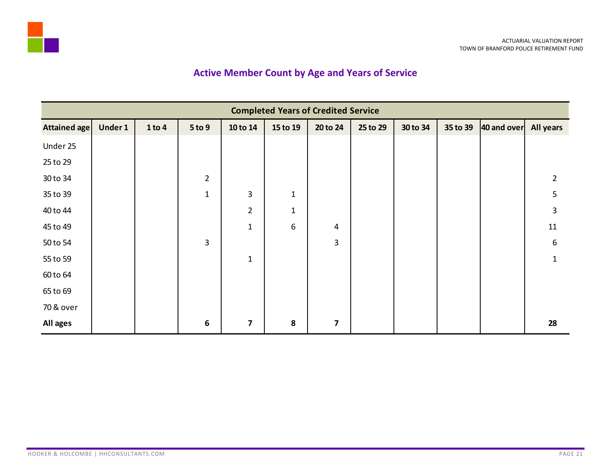

# **Active Member Count by Age and Years of Service**

<span id="page-22-0"></span>

|                     | <b>Completed Years of Credited Service</b> |        |                |                         |              |                         |          |          |          |             |                |
|---------------------|--------------------------------------------|--------|----------------|-------------------------|--------------|-------------------------|----------|----------|----------|-------------|----------------|
| <b>Attained age</b> | Under 1                                    | 1 to 4 | 5 to 9         | 10 to 14                | 15 to 19     | 20 to 24                | 25 to 29 | 30 to 34 | 35 to 39 | 40 and over | All years      |
| Under 25            |                                            |        |                |                         |              |                         |          |          |          |             |                |
| 25 to 29            |                                            |        |                |                         |              |                         |          |          |          |             |                |
| 30 to 34            |                                            |        | $\overline{2}$ |                         |              |                         |          |          |          |             | $\overline{2}$ |
| 35 to 39            |                                            |        | $\mathbf{1}$   | 3                       | $\mathbf 1$  |                         |          |          |          |             | 5              |
| 40 to 44            |                                            |        |                | $\overline{2}$          | $\mathbf{1}$ |                         |          |          |          |             | 3              |
| 45 to 49            |                                            |        |                | $\mathbf{1}$            | 6            | 4                       |          |          |          |             | 11             |
| 50 to 54            |                                            |        | 3              |                         |              | 3                       |          |          |          |             | 6              |
| 55 to 59            |                                            |        |                | $\mathbf 1$             |              |                         |          |          |          |             | $\mathbf{1}$   |
| 60 to 64            |                                            |        |                |                         |              |                         |          |          |          |             |                |
| 65 to 69            |                                            |        |                |                         |              |                         |          |          |          |             |                |
| 70 & over           |                                            |        |                |                         |              |                         |          |          |          |             |                |
| All ages            |                                            |        | 6              | $\overline{\mathbf{z}}$ | 8            | $\overline{\mathbf{z}}$ |          |          |          |             | 28             |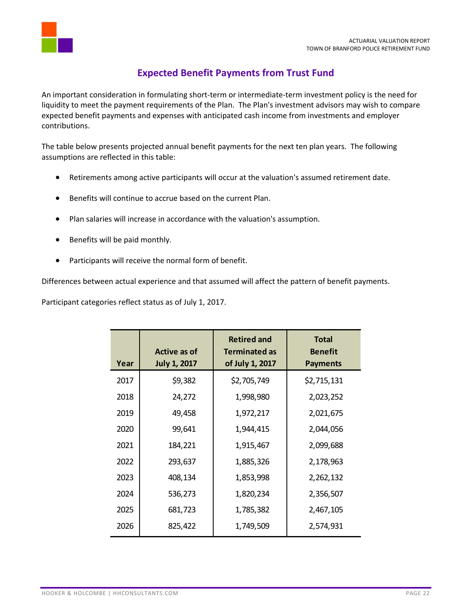

# **Expected Benefit Payments from Trust Fund**

<span id="page-23-0"></span>An important consideration in formulating short-term or intermediate-term investment policy is the need for liquidity to meet the payment requirements of the Plan. The Plan's investment advisors may wish to compare expected benefit payments and expenses with anticipated cash income from investments and employer contributions.

The table below presents projected annual benefit payments for the next ten plan years. The following assumptions are reflected in this table:

- Retirements among active participants will occur at the valuation's assumed retirement date.
- Benefits will continue to accrue based on the current Plan.
- Plan salaries will increase in accordance with the valuation's assumption.
- Benefits will be paid monthly.
- Participants will receive the normal form of benefit.

Differences between actual experience and that assumed will affect the pattern of benefit payments.

Participant categories reflect status as of July 1, 2017.

| Year | Active as of<br><b>July 1, 2017</b> | <b>Retired and</b><br><b>Terminated as</b><br>of July 1, 2017 | <b>Total</b><br><b>Benefit</b><br><b>Payments</b> |
|------|-------------------------------------|---------------------------------------------------------------|---------------------------------------------------|
| 2017 | \$9,382                             | \$2,705,749                                                   | \$2,715,131                                       |
| 2018 | 24,272                              | 1,998,980                                                     | 2,023,252                                         |
| 2019 | 49,458                              | 1,972,217                                                     | 2,021,675                                         |
| 2020 | 99,641                              | 1,944,415                                                     | 2,044,056                                         |
| 2021 | 184,221                             | 1,915,467                                                     | 2,099,688                                         |
| 2022 | 293,637                             | 1,885,326                                                     | 2,178,963                                         |
| 2023 | 408,134                             | 1,853,998                                                     | 2,262,132                                         |
| 2024 | 536,273                             | 1,820,234                                                     | 2,356,507                                         |
| 2025 | 681,723                             | 1,785,382                                                     | 2,467,105                                         |
| 2026 | 825,422                             | 1,749,509                                                     | 2,574,931                                         |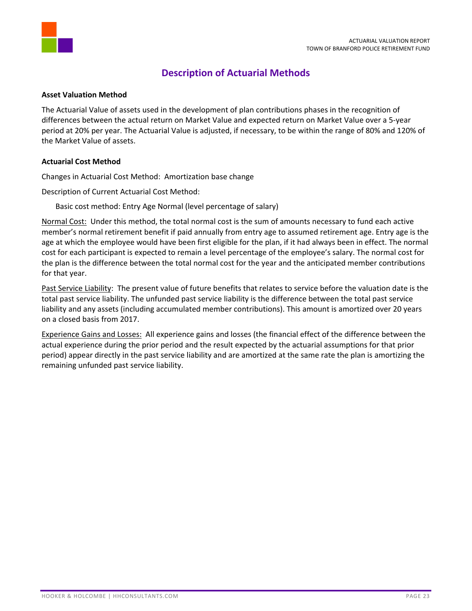

# **Description of Actuarial Methods**

## <span id="page-24-0"></span>**Asset Valuation Method**

The Actuarial Value of assets used in the development of plan contributions phases in the recognition of differences between the actual return on Market Value and expected return on Market Value over a 5-year period at 20% per year. The Actuarial Value is adjusted, if necessary, to be within the range of 80% and 120% of the Market Value of assets.

## **Actuarial Cost Method**

Changes in Actuarial Cost Method: Amortization base change

Description of Current Actuarial Cost Method:

Basic cost method: Entry Age Normal (level percentage of salary)

Normal Cost: Under this method, the total normal cost is the sum of amounts necessary to fund each active member's normal retirement benefit if paid annually from entry age to assumed retirement age. Entry age is the age at which the employee would have been first eligible for the plan, if it had always been in effect. The normal cost for each participant is expected to remain a level percentage of the employee's salary. The normal cost for the plan is the difference between the total normal cost for the year and the anticipated member contributions for that year.

Past Service Liability: The present value of future benefits that relates to service before the valuation date is the total past service liability. The unfunded past service liability is the difference between the total past service liability and any assets (including accumulated member contributions). This amount is amortized over 20 years on a closed basis from 2017.

Experience Gains and Losses: All experience gains and losses (the financial effect of the difference between the actual experience during the prior period and the result expected by the actuarial assumptions for that prior period) appear directly in the past service liability and are amortized at the same rate the plan is amortizing the remaining unfunded past service liability.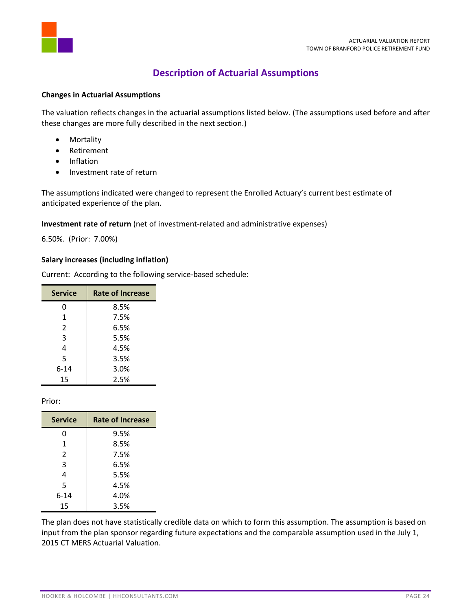

# **Description of Actuarial Assumptions**

#### <span id="page-25-0"></span>**Changes in Actuarial Assumptions**

The valuation reflects changes in the actuarial assumptions listed below. (The assumptions used before and after these changes are more fully described in the next section.)

- Mortality
- Retirement
- Inflation
- Investment rate of return

The assumptions indicated were changed to represent the Enrolled Actuary's current best estimate of anticipated experience of the plan.

## **Investment rate of return** (net of investment-related and administrative expenses)

6.50%. (Prior: 7.00%)

# **Salary increases (including inflation)**

Current: According to the following service-based schedule:

| <b>Service</b> | <b>Rate of Increase</b> |
|----------------|-------------------------|
| 0              | 8.5%                    |
| 1              | 7.5%                    |
| $\overline{2}$ | 6.5%                    |
| 3              | 5.5%                    |
| 4              | 4.5%                    |
| 5              | 3.5%                    |
| 6-14           | 3.0%                    |
| 15             | 2.5%                    |

Prior:

| <b>Service</b> | <b>Rate of Increase</b> |
|----------------|-------------------------|
| 0              | 9.5%                    |
| 1              | 8.5%                    |
| $\overline{2}$ | 7.5%                    |
| 3              | 6.5%                    |
| 4              | 5.5%                    |
| 5              | 4.5%                    |
| $6 - 14$       | 4.0%                    |
| 15             | 3.5%                    |

The plan does not have statistically credible data on which to form this assumption. The assumption is based on input from the plan sponsor regarding future expectations and the comparable assumption used in the July 1, 2015 CT MERS Actuarial Valuation.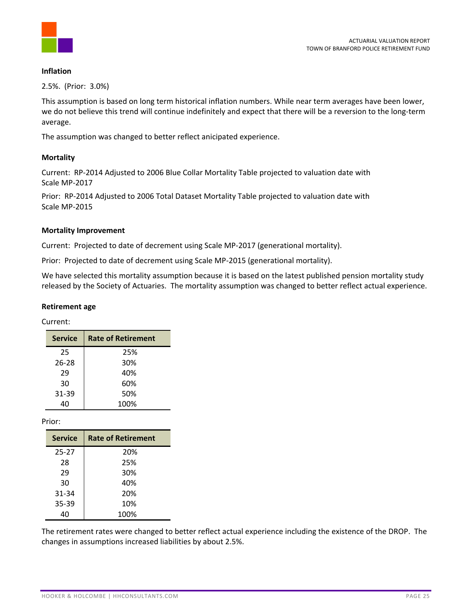

## **Inflation**

2.5%. (Prior: 3.0%)

This assumption is based on long term historical inflation numbers. While near term averages have been lower, we do not believe this trend will continue indefinitely and expect that there will be a reversion to the long-term average.

The assumption was changed to better reflect anicipated experience.

# **Mortality**

Current: RP-2014 Adjusted to 2006 Blue Collar Mortality Table projected to valuation date with Scale MP-2017

Prior: RP-2014 Adjusted to 2006 Total Dataset Mortality Table projected to valuation date with Scale MP-2015

# **Mortality Improvement**

Current: Projected to date of decrement using Scale MP-2017 (generational mortality).

Prior: Projected to date of decrement using Scale MP-2015 (generational mortality).

We have selected this mortality assumption because it is based on the latest published pension mortality study released by the Society of Actuaries. The mortality assumption was changed to better reflect actual experience.

#### **Retirement age**

Current:

| <b>Service</b> | <b>Rate of Retirement</b> |
|----------------|---------------------------|
| 25             | 25%                       |
| $26 - 28$      | 30%                       |
| 29             | 40%                       |
| 30             | 60%                       |
| 31-39          | 50%                       |
|                | 100%                      |

Prior:

| <b>Service</b> | <b>Rate of Retirement</b> |
|----------------|---------------------------|
| $25 - 27$      | 20%                       |
| 28             | 25%                       |
| 29             | 30%                       |
| 30             | 40%                       |
| 31-34          | 20%                       |
| 35-39          | 10%                       |
| 40             | 100%                      |

The retirement rates were changed to better reflect actual experience including the existence of the DROP. The changes in assumptions increased liabilities by about 2.5%.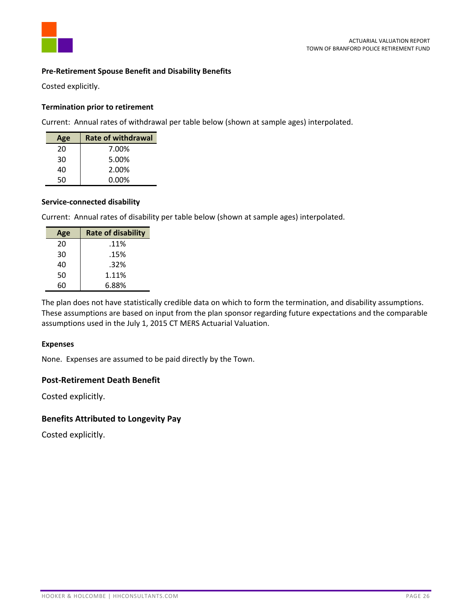

## **Pre-Retirement Spouse Benefit and Disability Benefits**

Costed explicitly.

## **Termination prior to retirement**

Current: Annual rates of withdrawal per table below (shown at sample ages) interpolated.

| Age | <b>Rate of withdrawal</b> |
|-----|---------------------------|
| 20  | 7.00%                     |
| 30  | 5.00%                     |
| 40  | 2.00%                     |
| 50  | 0.00%                     |

## **Service-connected disability**

Current: Annual rates of disability per table below (shown at sample ages) interpolated.

| Age | <b>Rate of disability</b> |
|-----|---------------------------|
| 20  | .11%                      |
| 30  | .15%                      |
| 40  | .32%                      |
| 50  | 1.11%                     |
| 60  | 6.88%                     |

The plan does not have statistically credible data on which to form the termination, and disability assumptions. These assumptions are based on input from the plan sponsor regarding future expectations and the comparable assumptions used in the July 1, 2015 CT MERS Actuarial Valuation.

#### **Expenses**

None. Expenses are assumed to be paid directly by the Town.

# **Post-Retirement Death Benefit**

Costed explicitly.

# **Benefits Attributed to Longevity Pay**

Costed explicitly.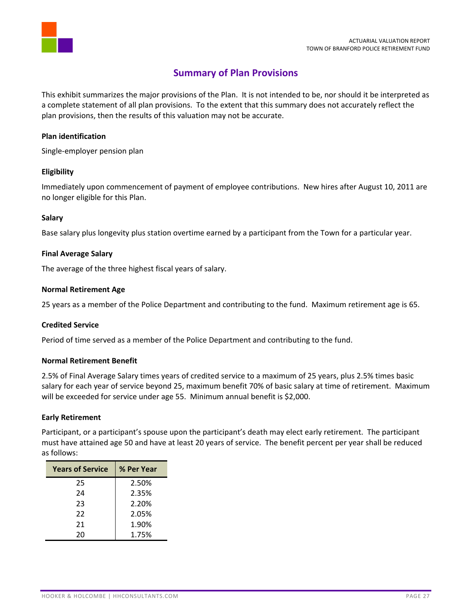

# **Summary of Plan Provisions**

<span id="page-28-0"></span>This exhibit summarizes the major provisions of the Plan. It is not intended to be, nor should it be interpreted as a complete statement of all plan provisions. To the extent that this summary does not accurately reflect the plan provisions, then the results of this valuation may not be accurate.

# **Plan identification**

Single-employer pension plan

## **Eligibility**

Immediately upon commencement of payment of employee contributions. New hires after August 10, 2011 are no longer eligible for this Plan.

## **Salary**

Base salary plus longevity plus station overtime earned by a participant from the Town for a particular year.

## **Final Average Salary**

The average of the three highest fiscal years of salary.

## **Normal Retirement Age**

25 years as a member of the Police Department and contributing to the fund. Maximum retirement age is 65.

#### **Credited Service**

Period of time served as a member of the Police Department and contributing to the fund.

#### **Normal Retirement Benefit**

2.5% of Final Average Salary times years of credited service to a maximum of 25 years, plus 2.5% times basic salary for each year of service beyond 25, maximum benefit 70% of basic salary at time of retirement. Maximum will be exceeded for service under age 55. Minimum annual benefit is \$2,000.

#### **Early Retirement**

Participant, or a participant's spouse upon the participant's death may elect early retirement. The participant must have attained age 50 and have at least 20 years of service. The benefit percent per year shall be reduced as follows:

| <b>Years of Service</b> | % Per Year |
|-------------------------|------------|
| 25                      | 2.50%      |
| 24                      | 2.35%      |
| 23                      | 2.20%      |
| 22                      | 2.05%      |
| 21                      | 1.90%      |
| 20                      | 1.75%      |